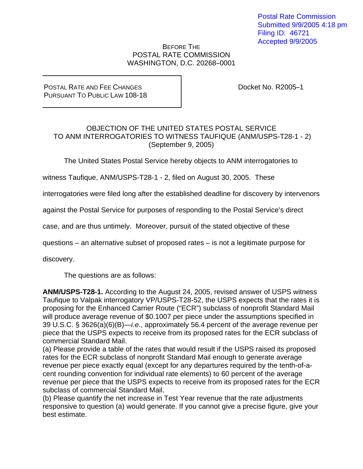## BEFORE THE POSTAL RATE COMMISSION WASHINGTON, D.C. 20268-0001

POSTAL RATE AND FEE CHANGES PURSUANT TO PUBLIC LAW 108-18 Docket No. R2005-1

## OBJECTION OF THE UNITED STATES POSTAL SERVICE TO ANM INTERROGATORIES TO WITNESS TAUFIQUE (ANM/USPS-T28-1 - 2) (September 9, 2005)

The United States Postal Service hereby objects to ANM interrogatories to

witness Taufique, ANM/USPS-T28-1 - 2, filed on August 30, 2005. These

interrogatories were filed long after the established deadline for discovery by intervenors

against the Postal Service for purposes of responding to the Postal Service's direct

case, and are thus untimely. Moreover, pursuit of the stated objective of these

questions – an alternative subset of proposed rates – is not a legitimate purpose for

discovery.

The questions are as follows:

**ANM/USPS-T28-1.** According to the August 24, 2005, revised answer of USPS witness Taufique to Valpak interrogatory VP/USPS-T28-52, the USPS expects that the rates it is proposing for the Enhanced Carrier Route ("ECR") subclass of nonprofit Standard Mail will produce average revenue of \$0.1007 per piece under the assumptions specified in 39 U.S.C. § 3626(a)(6)(B)—*i.e*., approximately 56.4 percent of the average revenue per piece that the USPS expects to receive from its proposed rates for the ECR subclass of commercial Standard Mail.

(a) Please provide a table of the rates that would result if the USPS raised its proposed rates for the ECR subclass of nonprofit Standard Mail enough to generate average revenue per piece exactly equal (except for any departures required by the tenth-of-acent rounding convention for individual rate elements) to 60 percent of the average revenue per piece that the USPS expects to receive from its proposed rates for the ECR subclass of commercial Standard Mail.

(b) Please quantify the net increase in Test Year revenue that the rate adjustments responsive to question (a) would generate. If you cannot give a precise figure, give your best estimate.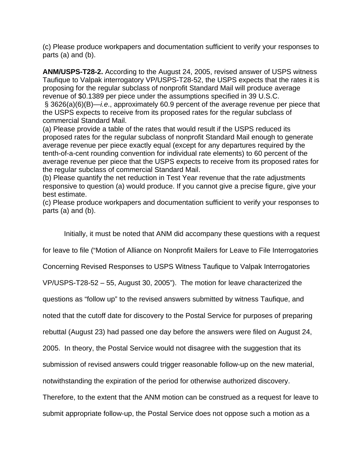(c) Please produce workpapers and documentation sufficient to verify your responses to parts (a) and (b).

**ANM/USPS-T28-2.** According to the August 24, 2005, revised answer of USPS witness Taufique to Valpak interrogatory VP/USPS-T28-52, the USPS expects that the rates it is proposing for the regular subclass of nonprofit Standard Mail will produce average revenue of \$0.1389 per piece under the assumptions specified in 39 U.S.C.

 § 3626(a)(6)(B)—*i.e*., approximately 60.9 percent of the average revenue per piece that the USPS expects to receive from its proposed rates for the regular subclass of commercial Standard Mail.

(a) Please provide a table of the rates that would result if the USPS reduced its proposed rates for the regular subclass of nonprofit Standard Mail enough to generate average revenue per piece exactly equal (except for any departures required by the tenth-of-a-cent rounding convention for individual rate elements) to 60 percent of the average revenue per piece that the USPS expects to receive from its proposed rates for the regular subclass of commercial Standard Mail.

(b) Please quantify the net reduction in Test Year revenue that the rate adjustments responsive to question (a) would produce. If you cannot give a precise figure, give your best estimate.

(c) Please produce workpapers and documentation sufficient to verify your responses to parts (a) and (b).

Initially, it must be noted that ANM did accompany these questions with a request

for leave to file ("Motion of Alliance on Nonprofit Mailers for Leave to File Interrogatories

Concerning Revised Responses to USPS Witness Taufique to Valpak Interrogatories

VP/USPS-T28-52 – 55, August 30, 2005"). The motion for leave characterized the

questions as "follow up" to the revised answers submitted by witness Taufique, and

noted that the cutoff date for discovery to the Postal Service for purposes of preparing

rebuttal (August 23) had passed one day before the answers were filed on August 24,

2005. In theory, the Postal Service would not disagree with the suggestion that its

submission of revised answers could trigger reasonable follow-up on the new material,

notwithstanding the expiration of the period for otherwise authorized discovery.

Therefore, to the extent that the ANM motion can be construed as a request for leave to

submit appropriate follow-up, the Postal Service does not oppose such a motion as a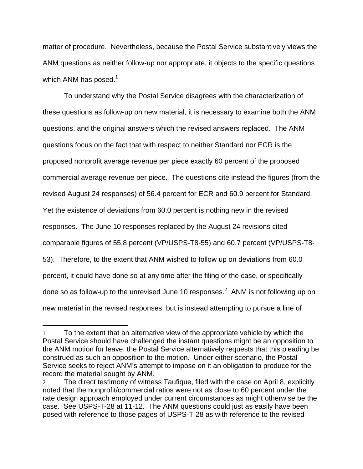matter of procedure. Nevertheless, because the Postal Service substantively views the ANM questions as neither follow-up nor appropriate, it objects to the specific questions which ANM has posed. $1$ 

 To understand why the Postal Service disagrees with the characterization of these questions as follow-up on new material, it is necessary to examine both the ANM questions, and the original answers which the revised answers replaced. The ANM questions focus on the fact that with respect to neither Standard nor ECR is the proposed nonprofit average revenue per piece exactly 60 percent of the proposed commercial average revenue per piece. The questions cite instead the figures (from the revised August 24 responses) of 56.4 percent for ECR and 60.9 percent for Standard. Yet the existence of deviations from 60.0 percent is nothing new in the revised responses. The June 10 responses replaced by the August 24 revisions cited comparable figures of 55.8 percent (VP/USPS-T8-55) and 60.7 percent (VP/USPS-T8- 53). Therefore, to the extent that ANM wished to follow up on deviations from 60.0 percent, it could have done so at any time after the filing of the case, or specifically done so as follow-up to the unrevised June 10 responses.<sup>2</sup> ANM is not following up on new material in the revised responses, but is instead attempting to pursue a line of

 $\overline{a}$ 

<sup>1</sup> To the extent that an alternative view of the appropriate vehicle by which the Postal Service should have challenged the instant questions might be an opposition to the ANM motion for leave, the Postal Service alternatively requests that this pleading be construed as such an opposition to the motion. Under either scenario, the Postal Service seeks to reject ANM's attempt to impose on it an obligation to produce for the record the material sought by ANM.

<sup>2</sup> The direct testimony of witness Taufique, filed with the case on April 8, explicitly noted that the nonprofit/commercial ratios were not as close to 60 percent under the rate design approach employed under current circumstances as might otherwise be the case. See USPS-T-28 at 11-12. The ANM questions could just as easily have been posed with reference to those pages of USPS-T-28 as with reference to the revised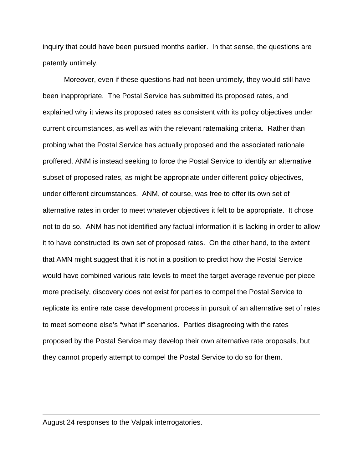inquiry that could have been pursued months earlier. In that sense, the questions are patently untimely.

 Moreover, even if these questions had not been untimely, they would still have been inappropriate. The Postal Service has submitted its proposed rates, and explained why it views its proposed rates as consistent with its policy objectives under current circumstances, as well as with the relevant ratemaking criteria. Rather than probing what the Postal Service has actually proposed and the associated rationale proffered, ANM is instead seeking to force the Postal Service to identify an alternative subset of proposed rates, as might be appropriate under different policy objectives, under different circumstances. ANM, of course, was free to offer its own set of alternative rates in order to meet whatever objectives it felt to be appropriate. It chose not to do so. ANM has not identified any factual information it is lacking in order to allow it to have constructed its own set of proposed rates. On the other hand, to the extent that AMN might suggest that it is not in a position to predict how the Postal Service would have combined various rate levels to meet the target average revenue per piece more precisely, discovery does not exist for parties to compel the Postal Service to replicate its entire rate case development process in pursuit of an alternative set of rates to meet someone else's "what if" scenarios. Parties disagreeing with the rates proposed by the Postal Service may develop their own alternative rate proposals, but they cannot properly attempt to compel the Postal Service to do so for them.

August 24 responses to the Valpak interrogatories.

 $\overline{a}$